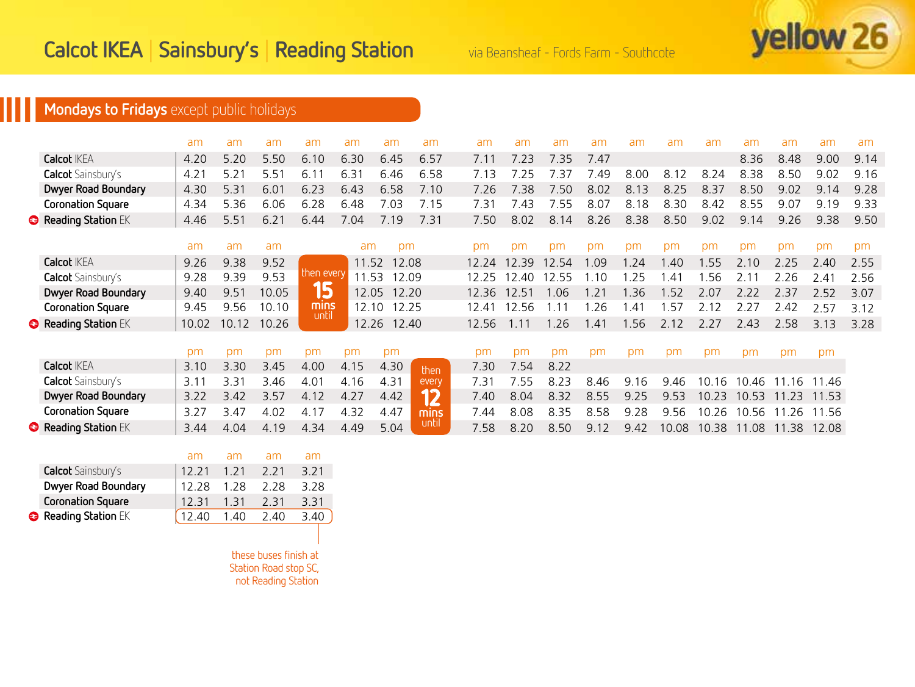

# **Mondays to Fridays** except public holidays

|                           | am    | am    | am    | am            | am    | am    | am    | am    | am    | am    | am   | am   | am                     | am    | am    | am    | am    | am   |
|---------------------------|-------|-------|-------|---------------|-------|-------|-------|-------|-------|-------|------|------|------------------------|-------|-------|-------|-------|------|
| <b>Calcot IKEA</b>        | 4.20  | 5.20  | 5.50  | 6.10          | 6.30  | 6.45  | 6.57  | 7.11  | 7.23  | 7.35  | 7.47 |      |                        |       | 8.36  | 8.48  | 9.00  | 9.14 |
| <b>Calcot</b> Sainsbury's | 4.21  | 5.21  | 5.51  | 6.11          | 6.31  | 6.46  | 6.58  | 7.13  | 7 25  | 7 37  | .49  | 8.00 | 8.12                   | 8.24  | 8.38  | 8.50  | 9.02  | 9.16 |
| Dwyer Road Boundary       | 4.30  | 5.31  | 6.01  | 6.23          | 6.43  | 6.58  | 7.10  | 7.26  | 738   | 750   | 8.02 | 8.13 | 8.25                   | 8.37  | 8.50  | 9.02  | 9.14  | 9.28 |
| <b>Coronation Square</b>  | 4.34  | 5.36  | 6.06  | 6.28          | 6.48  | 7.03  | 7.15  | 7.31  | 7.43  | 7.55  | 8.07 | 8.18 | 8.30                   | 8.42  | 8.55  | 9.07  | 9.19  | 9.33 |
| Reading Station EK        | 4.46  | 5.51  | 6.21  | 6.44          | 7.04  | 7.19  | 7.31  | 7.50  | 8.02  | 8.14  | 8.26 | 8.38 | 8.50                   | 9.02  | 9.14  | 9.26  | 9.38  | 9.50 |
|                           | am    | am    | am    |               | am    | pm    |       | pm    | рm    | pm    | рm   | pm   | pm                     | pm    | pm    | pm    | pm    | pm   |
| <b>Calcot IKEA</b>        | 9.26  | 9.38  | 9.52  |               | 11.52 |       | 12.08 | 12.24 | 12 39 | 12 54 | .09  | 1.24 | 1.40                   | .55   | 210   | 2.25  | 2.40  | 2.55 |
| Calcot Sainsbury's        | 9.28  | 9.39  | 9.53  | then every    | 11.53 | 12.09 |       | 12.25 | 12.40 | 12.55 | 10   | .25  | $\mathcal{A}^{\prime}$ | .56   |       | 2.26  | 2.41  | 2.56 |
| Dwyer Road Boundary       | 9.40  | 9.51  | 10.05 | 15            | 12.05 |       | 12.20 | 12.36 | 12.51 | 1.06  | .21  | 1.36 | .52                    | 2.07  | 2.22  | 2.37  | 2.52  | 3.07 |
| <b>Coronation Square</b>  | 9.45  | 9.56  | 10.10 | mins<br>until | 12.10 |       | 12.25 | 12.41 | 12.56 |       | .26  | .41  | .57                    | 2.12  | 2.27  | 2.42  | 2.57  | 3.12 |
| Reading Station EK        | 10.02 | 10.12 | 10.26 |               | 12.26 | 12.40 |       | 12.56 | 1 1 1 | 1.26  | .41  | 1.56 | 2.12                   | 2.27  | 243   | 2.58  | 3.13  | 3.28 |
|                           | pm    | pm    | pm    | pm            | pm    | pm    |       | pm    | pm    | pm    | pm   | pm   | pm                     | pm    | pm    | pm    | pm    |      |
| <b>Calcot IKEA</b>        | 3.10  | 3.30  | 3.45  | 4.00          | 4.15  | 4.30  | then  | 7.30  | 7.54  | 8.22  |      |      |                        |       |       |       |       |      |
| Calcot Sainsbury's        | 3.11  | 3.31  | 3.46  | 4.01          | 4.16  | 4.31  | every | 7.31  | 7.55  | 8.23  | 8.46 | 9.16 | 9.46                   | 10.16 | 10.46 | 1.16  | 11.46 |      |
| Dwyer Road Boundary       | 3.22  | 3.42  | 3.57  | 4.12          | 4.27  | 4.42  | 12    | 7.40  | 8.04  | 8.32  | 8.55 | 9.25 | 9.53                   | 10.23 | 10.53 | 11.23 | 11.53 |      |
| <b>Coronation Square</b>  | 3.27  | 3.47  | 4.02  | 4.17          | 4.32  | 4.47  | mins  | 7.44  | 8.08  | 8.35  | 8.58 | 9.28 | 9.56                   | 10.26 | 10.56 | 11.26 | 11.56 |      |
| Reading Station EK        | 3.44  | 4.04  | 4.19  | 4.34          | 4.49  | 5.04  | until | 7.58  | 8.20  | 8.50  | 9.12 | 9.42 | 10.08                  | 10.38 | 11.08 | 11.38 | 12.08 |      |

|                           | am    | am    | am    | am   |
|---------------------------|-------|-------|-------|------|
| <b>Calcot</b> Sainsbury's | 12 21 | 1 2 1 | 2 2 1 | 3.21 |
| Dwyer Road Boundary       | 12 28 | 1 28  | 228   | 3.28 |
| <b>Coronation Square</b>  | 12.31 | 1 31  | 2 31  | 3.31 |
| Reading Station EK        | 12 40 | 1.40  | 240   | 3.40 |

these buses finish at Station Road stop SC, not Reading Station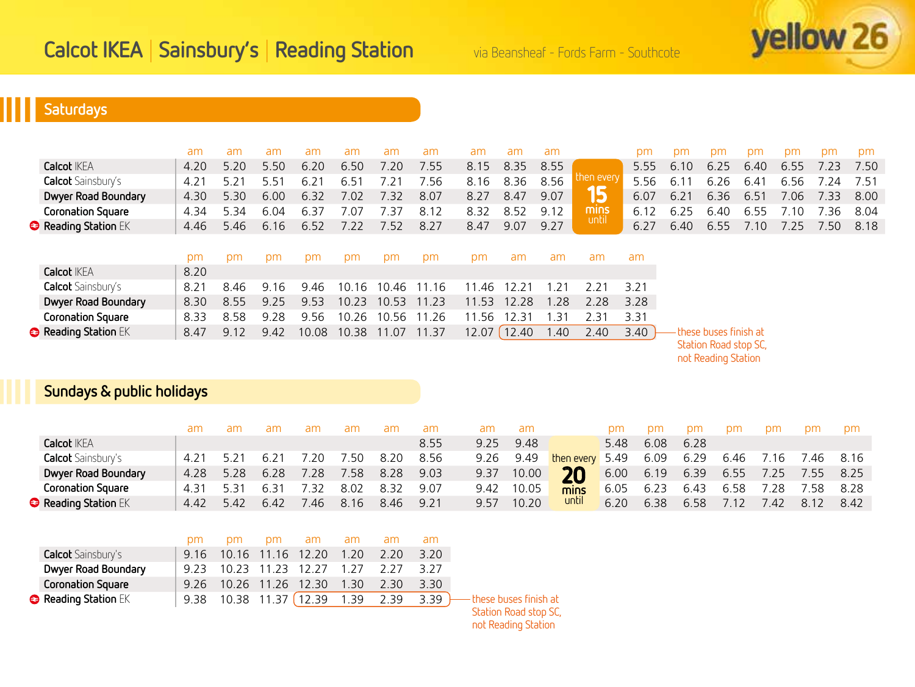

# **Saturdays**

|                           | am   | am   | am   | am    | am    | am    | am    | am    | am            | am    |            | pm   | pm   | pm                     | pm   | pm              | pm   | pm   |
|---------------------------|------|------|------|-------|-------|-------|-------|-------|---------------|-------|------------|------|------|------------------------|------|-----------------|------|------|
| <b>Calcot IKEA</b>        | 4.20 | 5.20 | 5.50 | 6.20  | 6.50  | 7.20  | 7.55  | 8.15  | 8.35          | 8.55  |            | 5.55 | 6.10 | 6.25                   | 6.40 | 6.55            | 7.23 | 7.50 |
| <b>Calcot</b> Sainsbury's | 4.21 | 5.21 | 5.51 | 6.21  | 6.51  | 7.21  | ' 56  | 8.16  | 8.36          | 8.56  | then every | 5.56 | 6.11 | 6.26                   | 6.41 | 6.56            | 7.24 | 7.51 |
| Dwyer Road Boundary       | 4.30 | 5.30 | 6.00 | 6.32  | 7.02  | 7.32  | 8.07  | 8.27  | 8.47          | 9.07  | 15         | 6.07 | 6.21 | 6.36                   | 6.51 | 7.06            | 7.33 | 8.00 |
| <b>Coronation Square</b>  | 4.34 | 5.34 | 6.04 | 6.37  | 7.07  | 7.37  | 8.12  | 8.32  | 8.52          | 9.12  | mins       | 6.12 | 6.25 | 6.40                   | 6.55 | $^{\prime}$ .10 | .36  | 8.04 |
| Reading Station EK        | 4.46 | 5.46 | 6.16 | 6.52  | 7.22  | 7.52  | 8.27  | 8.47  | 9.07          | 9.27  | until      | 6.27 | 6.40 | 6.55                   | 7.10 | 7.25            | 7.50 | 8.18 |
|                           |      |      |      |       |       |       |       |       |               |       |            |      |      |                        |      |                 |      |      |
|                           | pm   | pm   | pm   | pm    | pm    | pm    | pm    | pm    | am            | am    | am         | am   |      |                        |      |                 |      |      |
| <b>Calcot IKEA</b>        | 8.20 |      |      |       |       |       |       |       |               |       |            |      |      |                        |      |                 |      |      |
| <b>Calcot</b> Sainsbury's | 8.21 | 8.46 | 9.16 | 9.46  | 10.16 | 10.46 | 11.16 | 11.46 | $2.2^{\circ}$ | .21   | 2 2 1      | 3.21 |      |                        |      |                 |      |      |
| Dwyer Road Boundary       | 8.30 | 8.55 | 9.25 | 9.53  | 10.23 | 10.53 | 11.23 | 11.53 | 12.28         | 1.28  | 2.28       | 3.28 |      |                        |      |                 |      |      |
| <b>Coronation Square</b>  | 8.33 | 8.58 | 9.28 | 9.56  | 10.26 | 10.56 | 11.26 | 11.56 | 12.31         | .31   | 2.31       | 3.31 |      |                        |      |                 |      |      |
| Reading Station EK        | 8.47 | 9.12 | 9.42 | 10.08 | 10.38 | 11.07 | 11.37 | 12.07 | 12.40         | i .40 | 2.40       | 3.40 |      | -these buses finish at |      |                 |      |      |

Station Road stop SC,

not Reading Station

## **Sundays & public holidays**

|                           | am   |     |      |      | am   |      |      |      | am         |                 | рm               |      | om   | DM   | pm   | <b>pm</b>           | pm.  |
|---------------------------|------|-----|------|------|------|------|------|------|------------|-----------------|------------------|------|------|------|------|---------------------|------|
| <b>Calcot IKFA</b>        |      |     |      |      |      |      | 8.55 | 9 25 | 9.48       |                 | 5.48             | 6.08 | 6.28 |      |      |                     |      |
| <b>Calcot</b> Sainsbury's | 4.21 |     |      | .20  | 7.50 | 8.20 | 8.56 | 9.26 | 9.49       | then every 5.49 |                  | 6.09 | 6.29 |      |      | 6.46 7.16 7.46 8.16 |      |
| Dwyer Road Boundary       | 4.28 |     | 6.28 | 7.28 | 7.58 | 8.28 | 9.03 |      | 9.37 10.00 | <b>20</b>       | $6.00\quad 6.19$ |      | 6.39 |      |      | 6.55 7.25 7.55 8.25 |      |
| <b>Coronation Square</b>  | 4.31 |     |      | ' 37 | 8.02 | 832  | 9.07 | 9.42 | 10.05      | mins            | 6.05             | 6.23 | 6.43 | 6.58 | 7.28 | 7.58 8.28           |      |
| <b>Reading Station EK</b> | 4.42 | 542 | 6.42 | 46   | 8.16 | 846  | 9.21 | 9.57 | 10.20      | until           | 6.20             | 6.38 | 6.58 | 7.12 | 742  | 8.12                | 8.42 |

|                           | pm pm pm am am am am                  |  |  |      |                                                               |
|---------------------------|---------------------------------------|--|--|------|---------------------------------------------------------------|
| <b>Calcot</b> Sainsbury's | 9.16 10.16 11.16 12.20 1.20 2.20      |  |  | 3.20 |                                                               |
| Dwyer Road Boundary       | 9.23 10.23 11.23 12.27 1.27 2.27 3.27 |  |  |      |                                                               |
| <b>Coronation Square</b>  | 9.26 10.26 11.26 12.30 1.30 2.30      |  |  | 3 30 |                                                               |
| Reading Station EK        |                                       |  |  |      | 9.38 10.38 11.37 (12.39 1.39 2.39 3.39) These buses finish at |
|                           |                                       |  |  |      | Chabina Doad chan CC                                          |

Station Road stop SC, not Reading Station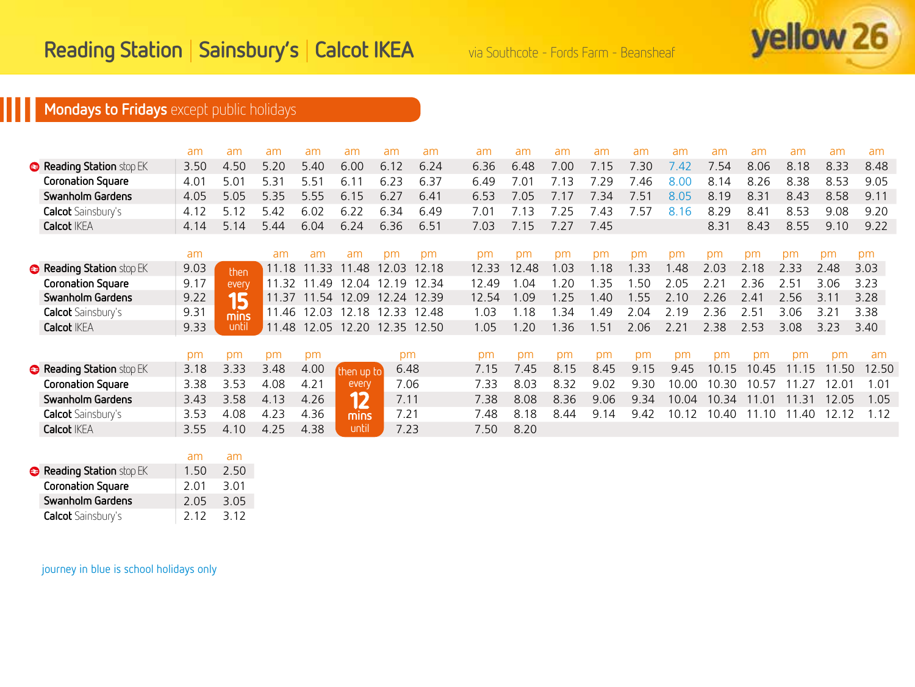

# **Mondays to Fridays** except public holidays

|                           | am   | am    | am    | am                            | am         | am    | am    | am    | am    | am   | am   | am   | am    | am            | am    | am    | am            | am    |
|---------------------------|------|-------|-------|-------------------------------|------------|-------|-------|-------|-------|------|------|------|-------|---------------|-------|-------|---------------|-------|
| Reading Station stop EK   | 3.50 | 4.50  | 5.20  | 5.40                          | 6.00       | 6.12  | 6.24  | 6.36  | 6.48  | 7.00 | 7.15 | 7.30 | 7.42  | 7.54          | 8.06  | 8.18  | 8.33          | 8.48  |
| <b>Coronation Square</b>  | 4.01 | 5.01  | 5.31  | 5.51                          | 6.11       | 6.23  | 6.37  | 6.49  | 7.01  | 7.13 | 29   | 7.46 | 8.00  | 8.14          | 8.26  | 8.38  | 8.53          | 9.05  |
| Swanholm Gardens          | 4.05 | 5.05  | 5.35  | 5.55                          | 6.15       | 6.27  | 6.41  | 6.53  | 7.05  | 7.17 | 7.34 | 7.51 | 8.05  | 8.19          | 8.31  | 8.43  | 8.58          | 9.11  |
| <b>Calcot</b> Sainsbury's | 4.12 | 5.12  | 5.42  | 6.02                          | 6.22       | 6.34  | 6.49  | 7.01  | 7.13  | 7.25 | 7.43 | 7.57 | 8.16  | 8.29          | 8.41  | 8.53  | 9.08          | 9.20  |
| <b>Calcot IKEA</b>        | 4.14 | 5.14  | 5.44  | 6.04                          | 6.24       | 6.36  | 6.51  | 7.03  | 7.15  | 7.27 | 7.45 |      |       | 8.31          | 8.43  | 8.55  | 9.10          | 9.22  |
|                           |      |       |       |                               |            |       |       |       |       |      |      |      |       |               |       |       |               |       |
|                           | am   |       | am    | am                            | am         | pm    | pm    | pm    | pm    | pm   | pm   | pm   | pm    | pm            | pm    | pm    | pm            | pm    |
| Reading Station stop EK   | 9.03 | then  | 11.18 | 11.33                         | 11.48      | 12.03 | 12.18 | 12.33 | 12.48 | 1.03 | .18  | .33  | .48   | 2.03          | 2.18  | 2.33  | 2.48          | 3.03  |
| <b>Coronation Square</b>  | 9.17 | every | 11.32 | .49                           | 12.04      | 12.19 | 12.34 | 12.49 | 1.04  | .20  | -35  | .50  | 2.05  | $2.2^{\circ}$ | 2.36  | 2.51  | 3.06          | 3.23  |
| Swanholm Gardens          | 9.22 | 15    | 11.37 | 11.54                         | 12.09      | 12.24 | 12.39 | 12.54 | 1.09  | 1.25 | .40  | 1.55 | 2.10  | 2.26          | 2.41  | 2.56  | 3.11          | 3.28  |
| <b>Calcot</b> Sainsbury's | 9.31 | mins  | 11.46 | 12.03                         | 12.18      | 12.33 | 12.48 | 1.03  | 1.18  | .34  | .49  | 2.04 | 2.19  | 2.36          | 2.51  | 3.06  | $3.2^{\circ}$ | 3.38  |
| <b>Calcot IKEA</b>        | 9.33 | until |       | 11.48 12.05 12.20 12.35 12.50 |            |       |       | 1.05  | 1.20  | 1.36 | 1.51 | 2.06 | 2.21  | 2.38          | 2.53  | 3.08  | 3.23          | 3.40  |
|                           |      |       |       |                               |            |       |       |       |       |      |      |      |       |               |       |       |               |       |
|                           | pm   | pm    | pm    | pm                            |            | pm    |       | pm    | pm    | pm   | pm   | pm   | pm    | pm            | pm    | pm    | pm            | am    |
| Reading Station stop EK   | 3.18 | 3.33  | 3.48  | 4.00                          | then up to | 6.48  |       | 7.15  | .45   | 8.15 | 8.45 | 9.15 | 9.45  | 10.15         | 10.45 | 11.15 | 11.50         | 12.50 |
| <b>Coronation Square</b>  | 3.38 | 3.53  | 4.08  | 4.21                          | every      | 7.06  |       | 7.33  | 8.03  | 8.32 | 9.02 | 9.30 | 10.00 | 10.30         | 10.57 | -27   | 12.01         | 1.01  |
| Swanholm Gardens          | 3.43 | 3.58  | 4.13  | 4.26                          | 12         | 7.11  |       | 7.38  | 8.08  | 8.36 | 9.06 | 9.34 | 10.04 | 10.34         | 01    | 11.31 | 12.05         | 1.05  |
| <b>Calcot</b> Sainsbury's | 3.53 | 4.08  | 4.23  | 4.36                          | mins       | 7.21  |       | 7.48  | 8.18  | 8.44 | 9.14 | 9.42 | 10.12 | 10.40         | 11.10 | 11.40 | 12.12         | 1.12  |
| <b>Calcot IKEA</b>        | 3.55 | 4.10  | 4.25  | 4.38                          | until      | 7.23  |       | 7.50  | 8.20  |      |      |      |       |               |       |       |               |       |
|                           |      |       |       |                               |            |       |       |       |       |      |      |      |       |               |       |       |               |       |
|                           | am   | am    |       |                               |            |       |       |       |       |      |      |      |       |               |       |       |               |       |

| Reading Station stop EK   | 1.50  | 2.50  |
|---------------------------|-------|-------|
| <b>Coronation Square</b>  | 2.01  | 3.01  |
| Swanholm Gardens          | 2.05  | 3.05  |
| <b>Calcot</b> Sainsbury's | 2 1 2 | 3 1 2 |

journey in blue is school holidays only